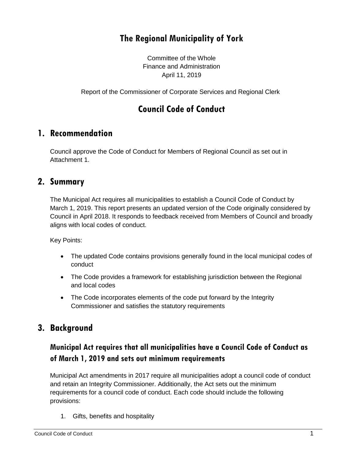# **The Regional Municipality of York**

Committee of the Whole Finance and Administration April 11, 2019

Report of the Commissioner of Corporate Services and Regional Clerk

# **Council Code of Conduct**

#### **1. Recommendation**

Council approve the Code of Conduct for Members of Regional Council as set out in Attachment 1.

#### **2. Summary**

The Municipal Act requires all municipalities to establish a Council Code of Conduct by March 1, 2019. This report presents an updated version of the Code originally considered by Council in April 2018. It responds to feedback received from Members of Council and broadly aligns with local codes of conduct.

Key Points:

- The updated Code contains provisions generally found in the local municipal codes of conduct
- The Code provides a framework for establishing jurisdiction between the Regional and local codes
- The Code incorporates elements of the code put forward by the Integrity Commissioner and satisfies the statutory requirements

# **3. Background**

#### **Municipal Act requires that all municipalities have a Council Code of Conduct as of March 1, 2019 and sets out minimum requirements**

Municipal Act amendments in 2017 require all municipalities adopt a council code of conduct and retain an Integrity Commissioner. Additionally, the Act sets out the minimum requirements for a council code of conduct. Each code should include the following provisions:

1. Gifts, benefits and hospitality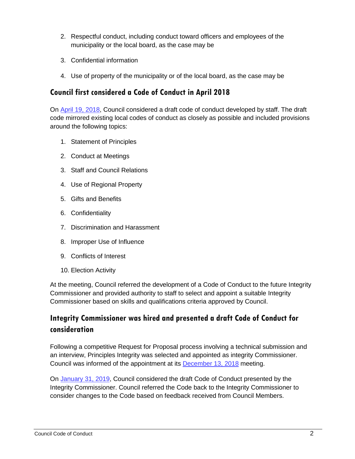- 2. Respectful conduct, including conduct toward officers and employees of the municipality or the local board, as the case may be
- 3. Confidential information
- 4. Use of property of the municipality or of the local board, as the case may be

#### **Council first considered a Code of Conduct in April 2018**

On [April 19, 2018,](https://www.york.ca/wps/wcm/connect/yorkpublic/faeeaf67-2816-4489-823a-c524cb43330a/apr+12+establishing+ex.pdf?MOD=AJPERES) Council considered a draft code of conduct developed by staff. The draft code mirrored existing local codes of conduct as closely as possible and included provisions around the following topics:

- 1. Statement of Principles
- 2. Conduct at Meetings
- 3. Staff and Council Relations
- 4. Use of Regional Property
- 5. Gifts and Benefits
- 6. Confidentiality
- 7. Discrimination and Harassment
- 8. Improper Use of Influence
- 9. Conflicts of Interest
- 10. Election Activity

At the meeting, Council referred the development of a Code of Conduct to the future Integrity Commissioner and provided authority to staff to select and appoint a suitable Integrity Commissioner based on skills and qualifications criteria approved by Council.

#### **Integrity Commissioner was hired and presented a draft Code of Conduct for consideration**

Following a competitive Request for Proposal process involving a technical submission and an interview, Principles Integrity was selected and appointed as integrity Commissioner. Council was informed of the appointment at its [December 13, 2018](https://www.york.ca/wps/wcm/connect/yorkpublic/10ea39d3-1f5b-44d9-9093-c1562d54f269/dec+13+raynor.pdf?MOD=AJPERES) meeting.

On [January 31, 2019,](https://yorkpublishing.escribemeetings.com/Meeting.aspx?Id=4b38094a-a6d5-4a1e-998c-2e04b9557573&Agenda=PostMinutes&lang=English) Council considered the draft Code of Conduct presented by the Integrity Commissioner. Council referred the Code back to the Integrity Commissioner to consider changes to the Code based on feedback received from Council Members.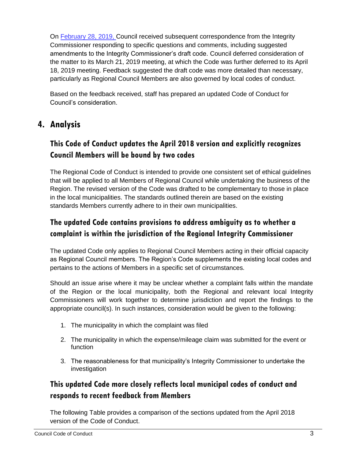On [February 28, 2019,](https://yorkpublishing.escribemeetings.com/filestream.ashx?DocumentId=2861) Council received subsequent correspondence from the Integrity Commissioner responding to specific questions and comments, including suggested amendments to the Integrity Commissioner's draft code. Council deferred consideration of the matter to its March 21, 2019 meeting, at which the Code was further deferred to its April 18, 2019 meeting. Feedback suggested the draft code was more detailed than necessary, particularly as Regional Council Members are also governed by local codes of conduct.

Based on the feedback received, staff has prepared an updated Code of Conduct for Council's consideration.

# **4. Analysis**

## **This Code of Conduct updates the April 2018 version and explicitly recognizes Council Members will be bound by two codes**

The Regional Code of Conduct is intended to provide one consistent set of ethical guidelines that will be applied to all Members of Regional Council while undertaking the business of the Region. The revised version of the Code was drafted to be complementary to those in place in the local municipalities. The standards outlined therein are based on the existing standards Members currently adhere to in their own municipalities.

## **The updated Code contains provisions to address ambiguity as to whether a complaint is within the jurisdiction of the Regional Integrity Commissioner**

The updated Code only applies to Regional Council Members acting in their official capacity as Regional Council members. The Region's Code supplements the existing local codes and pertains to the actions of Members in a specific set of circumstances.

Should an issue arise where it may be unclear whether a complaint falls within the mandate of the Region or the local municipality, both the Regional and relevant local Integrity Commissioners will work together to determine jurisdiction and report the findings to the appropriate council(s). In such instances, consideration would be given to the following:

- 1. The municipality in which the complaint was filed
- 2. The municipality in which the expense/mileage claim was submitted for the event or function
- 3. The reasonableness for that municipality's Integrity Commissioner to undertake the investigation

## **This updated Code more closely reflects local municipal codes of conduct and responds to recent feedback from Members**

The following Table provides a comparison of the sections updated from the April 2018 version of the Code of Conduct.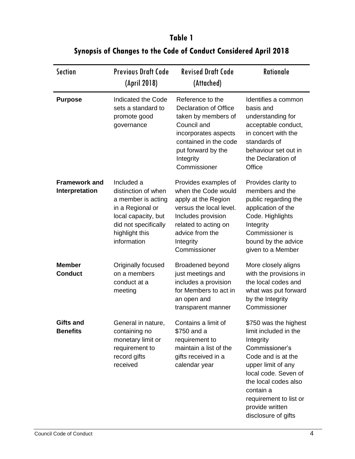#### Section Previous Draft Code (April 2018) Revised Draft Code (Attached) Rationale **Purpose** Indicated the Code sets a standard to promote good governance Reference to the Declaration of Office taken by members of Council and incorporates aspects contained in the code put forward by the **Integrity** Commissioner Identifies a common basis and understanding for acceptable conduct, in concert with the standards of behaviour set out in the Declaration of **Office Framework and Interpretation** Included a distinction of when a member is acting in a Regional or local capacity, but did not specifically highlight this information Provides examples of when the Code would apply at the Region versus the local level. Includes provision related to acting on advice from the **Integrity Commissioner** Provides clarity to members and the public regarding the application of the Code. Highlights **Integrity** Commissioner is bound by the advice given to a Member **Member Conduct** Originally focused on a members conduct at a meeting Broadened beyond just meetings and includes a provision for Members to act in an open and transparent manner More closely aligns with the provisions in the local codes and what was put forward by the Integrity Commissioner **Gifts and Benefits** General in nature, containing no monetary limit or requirement to record gifts received Contains a limit of \$750 and a requirement to maintain a list of the gifts received in a calendar year \$750 was the highest limit included in the Integrity Commissioner's Code and is at the upper limit of any local code. Seven of the local codes also contain a requirement to list or

## **Table 1 Synopsis of Changes to the Code of Conduct Considered April 2018**

provide written disclosure of gifts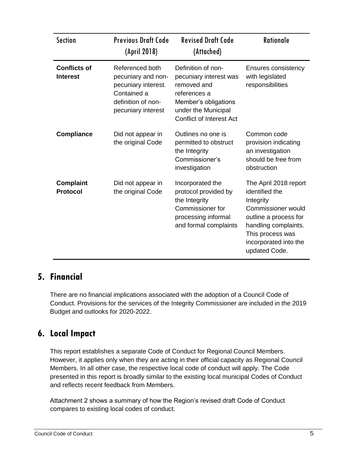| <b>Section</b>                         | <b>Previous Draft Code</b><br>(April 2018)                                                                              | <b>Revised Draft Code</b><br>(Attached)                                                                                                                       | <b>Rationale</b>                                                                                                                                                                          |
|----------------------------------------|-------------------------------------------------------------------------------------------------------------------------|---------------------------------------------------------------------------------------------------------------------------------------------------------------|-------------------------------------------------------------------------------------------------------------------------------------------------------------------------------------------|
| <b>Conflicts of</b><br><b>Interest</b> | Referenced both<br>pecuniary and non-<br>pecuniary interest.<br>Contained a<br>definition of non-<br>pecuniary interest | Definition of non-<br>pecuniary interest was<br>removed and<br>references a<br>Member's obligations<br>under the Municipal<br><b>Conflict of Interest Act</b> | Ensures consistency<br>with legislated<br>responsibilities                                                                                                                                |
| <b>Compliance</b>                      | Did not appear in<br>the original Code                                                                                  | Outlines no one is<br>permitted to obstruct<br>the Integrity<br>Commissioner's<br>investigation                                                               | Common code<br>provision indicating<br>an investigation<br>should be free from<br>obstruction                                                                                             |
| <b>Complaint</b><br><b>Protocol</b>    | Did not appear in<br>the original Code                                                                                  | Incorporated the<br>protocol provided by<br>the Integrity<br>Commissioner for<br>processing informal<br>and formal complaints                                 | The April 2018 report<br>identified the<br>Integrity<br>Commissioner would<br>outline a process for<br>handling complaints.<br>This process was<br>incorporated into the<br>updated Code. |

# **5. Financial**

There are no financial implications associated with the adoption of a Council Code of Conduct. Provisions for the services of the Integrity Commissioner are included in the 2019 Budget and outlooks for 2020-2022.

# **6. Local Impact**

This report establishes a separate Code of Conduct for Regional Council Members. However, it applies only when they are acting in their official capacity as Regional Council Members. In all other case, the respective local code of conduct will apply. The Code presented in this report is broadly similar to the existing local municipal Codes of Conduct and reflects recent feedback from Members.

Attachment 2 shows a summary of how the Region's revised draft Code of Conduct compares to existing local codes of conduct.